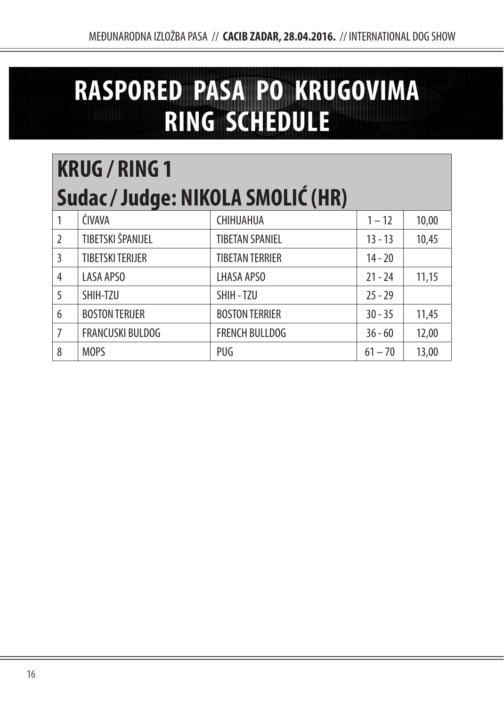## **RASPORED PASA PO KRUGOVIMA RING SCHEDULE**

## **KRUG / RING 1 Sudac / Judge: NIKOLA SMOLIĆ (HR)**

|                | ČIVAVA                  | CHIHUAHUA              | $1 - 12$  | 10,00 |
|----------------|-------------------------|------------------------|-----------|-------|
| $\overline{2}$ | TIBETSKI ŠPANIJEL       | <b>TIBETAN SPANIEL</b> | $13 - 13$ | 10,45 |
| 3              | <b>TIBETSKI TERIJER</b> | <b>TIBETAN TERRIER</b> | $14 - 20$ |       |
| 4              | LASA APSO               | LHASA APSO             | $21 - 24$ | 11,15 |
| 5              | SHIH-TZU                | SHIH-TZU               | $25 - 29$ |       |
| 6              | <b>BOSTON TERIJER</b>   | <b>BOSTON TERRIER</b>  | $30 - 35$ | 11,45 |
| 7              | <b>FRANCUSKI BULDOG</b> | <b>FRENCH BULLDOG</b>  | $36 - 60$ | 12,00 |
| 8              | <b>MOPS</b>             | PUG                    | $61 - 70$ | 13,00 |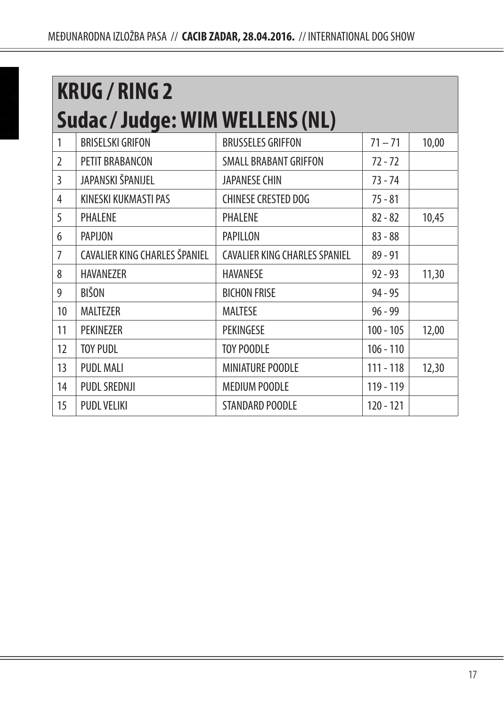| <b>KRUG / RING 2</b> |                                        |                                      |             |       |  |  |
|----------------------|----------------------------------------|--------------------------------------|-------------|-------|--|--|
|                      | <b>Sudac / Judge: WIM WELLENS (NL)</b> |                                      |             |       |  |  |
| 1                    | <b>BRISELSKI GRIFON</b>                | <b>BRUSSELES GRIFFON</b>             | $71 - 71$   | 10,00 |  |  |
| $\overline{2}$       | PETIT BRABANCON                        | <b>SMALL BRABANT GRIFFON</b>         | $72 - 72$   |       |  |  |
| 3                    | JAPANSKI ŠPANIJEL                      | <b>JAPANESE CHIN</b>                 | 73 - 74     |       |  |  |
| 4                    | KINESKI KUKMASTI PAS                   | <b>CHINESE CRESTED DOG</b>           | $75 - 81$   |       |  |  |
| 5                    | PHALENE                                | PHALENE                              | $82 - 82$   | 10,45 |  |  |
| 6                    | PAPIJON                                | PAPILLON                             | $83 - 88$   |       |  |  |
| 7                    | CAVALIER KING CHARLES ŠPANIEL          | <b>CAVALIER KING CHARLES SPANIEL</b> | $89 - 91$   |       |  |  |
| 8                    | <b>HAVANEZER</b>                       | <b>HAVANESE</b>                      | $92 - 93$   | 11,30 |  |  |
| 9                    | <b>BIŠON</b>                           | <b>BICHON FRISE</b>                  | $94 - 95$   |       |  |  |
| 10                   | MALTEZER                               | <b>MALTESE</b>                       | $96 - 99$   |       |  |  |
| 11                   | PEKINEZER                              | PEKINGESE                            | $100 - 105$ | 12,00 |  |  |
| 12                   | <b>TOY PUDL</b>                        | <b>TOY POODLE</b>                    | $106 - 110$ |       |  |  |
| 13                   | <b>PUDL MALI</b>                       | MINIATURE POODLE                     | 111 - 118   | 12,30 |  |  |
| 14                   | PUDL SREDNJI                           | <b>MEDIUM POODLE</b>                 | 119 - 119   |       |  |  |
| 15                   | <b>PUDL VELIKI</b>                     | STANDARD POODLE                      | 120 - 121   |       |  |  |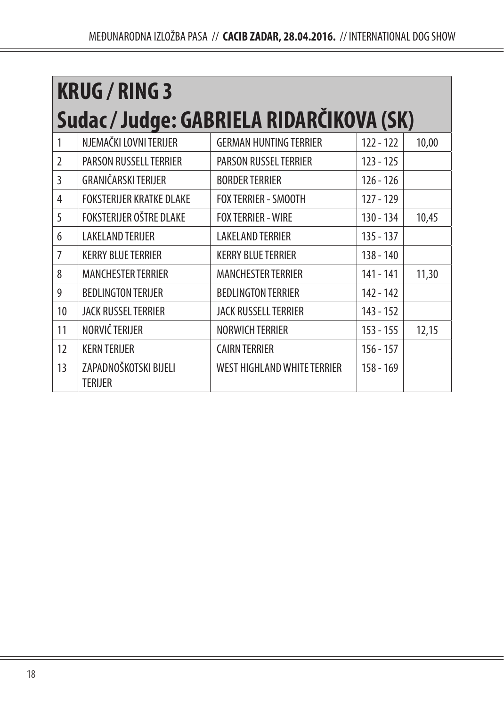| <b>KRUG / RING 3</b> |                                          |                                    |             |       |  |  |
|----------------------|------------------------------------------|------------------------------------|-------------|-------|--|--|
|                      | Sudac / Judge: GABRIELA RIDARČIKOVA (SK) |                                    |             |       |  |  |
| 1                    | NJEMAČKI LOVNI TERIJER                   | <b>GERMAN HUNTING TERRIER</b>      | $122 - 122$ | 10,00 |  |  |
| $\mathfrak{I}$       | PARSON RUSSELL TERRIER                   | <b>PARSON RUSSEL TERRIER</b>       | 123 - 125   |       |  |  |
| 3                    | GRANIČARSKI TERIJER                      | <b>BORDER TERRIER</b>              | $126 - 126$ |       |  |  |
| 4                    | <b>FOKSTERIJER KRATKE DLAKE</b>          | <b>FOX TERRIER - SMOOTH</b>        | 127 - 129   |       |  |  |
| 5                    | FOKSTERIJER OŠTRE DLAKE                  | <b>FOX TERRIER - WIRE</b>          | $130 - 134$ | 10,45 |  |  |
| 6                    | <b>LAKELAND TERIJER</b>                  | <b>LAKELAND TERRIER</b>            | $135 - 137$ |       |  |  |
| 7                    | <b>KERRY BLUE TERRIER</b>                | <b>KERRY BLUE TERRIER</b>          | 138 - 140   |       |  |  |
| 8                    | <b>MANCHESTER TERRIER</b>                | <b>MANCHESTER TERRIER</b>          | 141 - 141   | 11,30 |  |  |
| 9                    | <b>BEDLINGTON TERIJER</b>                | <b>BEDLINGTON TERRIER</b>          | 142 - 142   |       |  |  |
| 10                   | <b>JACK RUSSEL TERRIER</b>               | JACK RUSSELL TERRIER               | $143 - 152$ |       |  |  |
| 11                   | NORVIČ TERIJER                           | <b>NORWICH TERRIER</b>             | $153 - 155$ | 12,15 |  |  |
| 12                   | <b>KERN TERIJER</b>                      | <b>CAIRN TERRIER</b>               | $156 - 157$ |       |  |  |
| 13                   | ZAPADNOŠKOTSKI BIJELI<br>TERIJER         | <b>WEST HIGHLAND WHITE TERRIER</b> | 158 - 169   |       |  |  |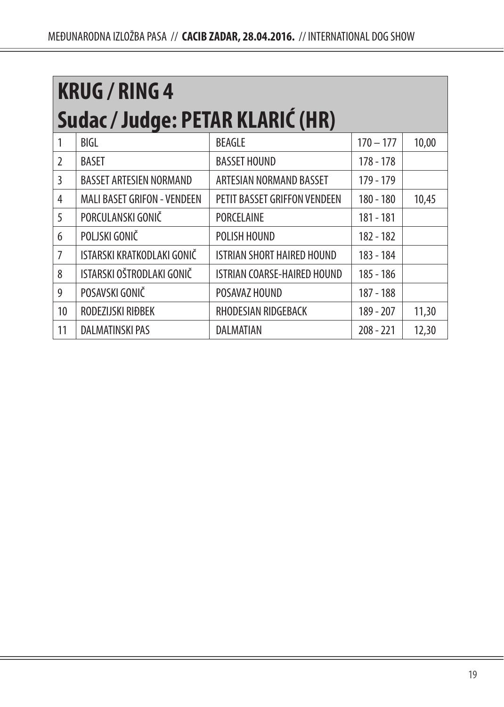|                | <b>KRUG / RING 4</b>               |                                   |             |       |  |  |
|----------------|------------------------------------|-----------------------------------|-------------|-------|--|--|
|                | Sudac / Judge: PETAR KLARIĆ (HR)   |                                   |             |       |  |  |
|                | BIGL                               | <b>BEAGLE</b>                     | $170 - 177$ | 10,00 |  |  |
| $\mathfrak{I}$ | <b>BASET</b>                       | <b>BASSET HOUND</b>               | 178 - 178   |       |  |  |
| 3              | <b>BASSET ARTESIEN NORMAND</b>     | ARTESIAN NORMAND BASSET           | 179 - 179   |       |  |  |
| 4              | <b>MALI BASET GRIFON - VENDEEN</b> | PETIT BASSET GRIFFON VENDEEN      | 180 - 180   | 10,45 |  |  |
| 5              | PORCULANSKI GONIČ                  | <b>PORCELAINE</b>                 | 181 - 181   |       |  |  |
| 6              | POLJSKI GONIČ                      | POLISH HOUND                      | 182 - 182   |       |  |  |
| $\overline{7}$ | ISTARSKI KRATKODLAKI GONIČ         | <b>ISTRIAN SHORT HAIRED HOUND</b> | 183 - 184   |       |  |  |
| 8              | ISTARSKI OŠTRODLAKI GONIČ          | ISTRIAN COARSE-HAIRED HOUND       | 185 - 186   |       |  |  |
| 9              | POSAVSKI GONIČ                     | POSAVAZ HOUND                     | 187 - 188   |       |  |  |
| 10             | RODEZIJSKI RIĐBEK                  | RHODESIAN RIDGEBACK               | 189 - 207   | 11,30 |  |  |
| 11             | <b>DALMATINSKI PAS</b>             | DALMATIAN                         | $208 - 221$ | 12,30 |  |  |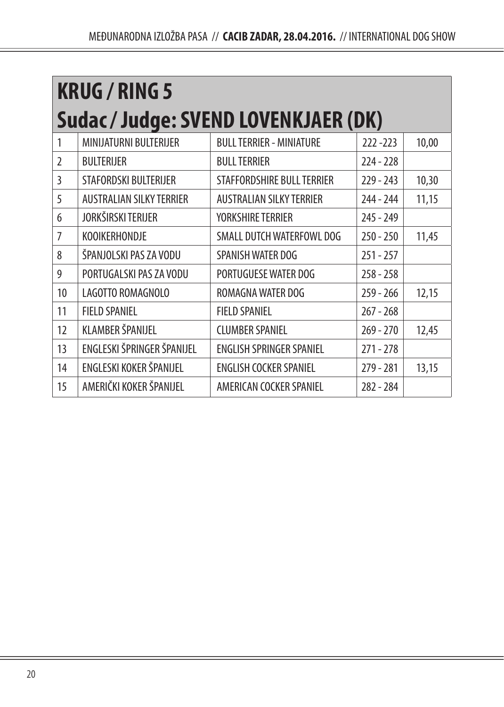| <b>KRUG / RING 5</b> |                                      |                                 |             |       |  |
|----------------------|--------------------------------------|---------------------------------|-------------|-------|--|
|                      | Sudac / Judge: SVEND LOVENKJAER (DK) |                                 |             |       |  |
| 1                    | MINIJATURNI BULTERIJER               | <b>BULL TERRIER - MINIATURE</b> | $222 - 223$ | 10,00 |  |
| $\overline{2}$       | <b>BULTERIJER</b>                    | <b>BULL TERRIER</b>             | $224 - 228$ |       |  |
| 3                    | STAFORDSKI BULTERIJER                | STAFFORDSHIRE BULL TERRIER      | 229 - 243   | 10,30 |  |
| 5                    | <b>AUSTRALIAN SILKY TERRIER</b>      | <b>AUSTRALIAN SILKY TERRIER</b> | 244 - 244   | 11,15 |  |
| 6                    | JORKŠIRSKI TERIJER                   | YORKSHIRE TERRIER               | 245 - 249   |       |  |
| 7                    | <b>KOOIKERHONDJE</b>                 | SMALL DUTCH WATERFOWL DOG       | $250 - 250$ | 11,45 |  |
| 8                    | ŠPANJOLSKI PAS ZA VODU               | SPANISH WATER DOG               | $251 - 257$ |       |  |
| 9                    | PORTUGALSKI PAS ZA VODU              | PORTUGUESE WATER DOG            | $258 - 258$ |       |  |
| 10                   | LAGOTTO ROMAGNOLO                    | ROMAGNA WATER DOG               | $259 - 266$ | 12,15 |  |
| 11                   | <b>FIELD SPANIEL</b>                 | <b>FIELD SPANIEL</b>            | $267 - 268$ |       |  |
| 12                   | <b>KLAMBER ŠPANIJEL</b>              | <b>CLUMBER SPANIEL</b>          | $269 - 270$ | 12,45 |  |
| 13                   | ENGLESKI ŠPRINGER ŠPANIJEL           | <b>ENGLISH SPRINGER SPANIEL</b> | $271 - 278$ |       |  |
| 14                   | ENGLESKI KOKER ŠPANIJEL              | <b>ENGLISH COCKER SPANIEL</b>   | $279 - 281$ | 13,15 |  |
| 15                   | AMERIČKI KOKER ŠPANIJEL              | AMERICAN COCKER SPANIEL         | 282 - 284   |       |  |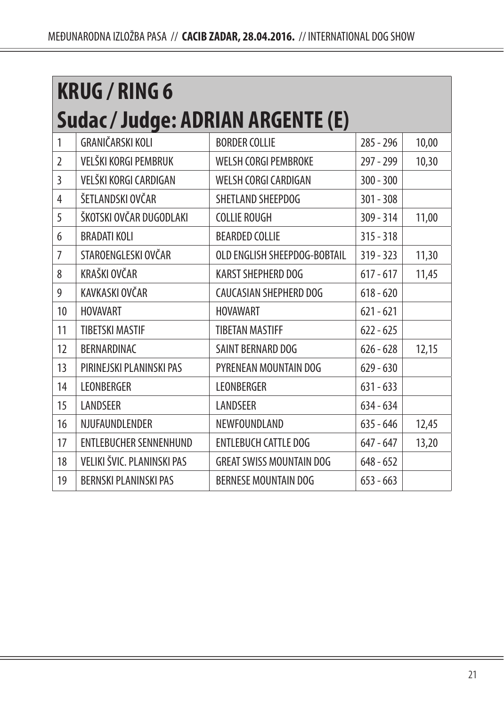|                | <b>KRUG / RING 6</b>          |                                   |             |       |  |
|----------------|-------------------------------|-----------------------------------|-------------|-------|--|
|                |                               | Sudac / Judge: ADRIAN ARGENTE (E) |             |       |  |
| 1              | <b>GRANIČARSKI KOLI</b>       | <b>BORDER COLLIE</b>              | $285 - 296$ | 10,00 |  |
| $\mathfrak{I}$ | VELŠKI KORGI PEMBRUK          | <b>WELSH CORGI PEMBROKE</b>       | 297 - 299   | 10,30 |  |
| 3              | VELŠKI KORGI CARDIGAN         | WELSH CORGI CARDIGAN              | $300 - 300$ |       |  |
| 4              | ŠETLANDSKI OVČAR              | SHETLAND SHEEPDOG                 | $301 - 308$ |       |  |
| 5              | ŠKOTSKI OVČAR DUGODLAKI       | <b>COLLIE ROUGH</b>               | $309 - 314$ | 11,00 |  |
| 6              | <b>BRADATI KOLI</b>           | <b>BEARDED COLLIE</b>             | $315 - 318$ |       |  |
| 7              | STAROENGLESKI OVČAR           | OLD ENGLISH SHEEPDOG-BOBTAIL      | $319 - 323$ | 11,30 |  |
| 8              | KRAŠKI OVČAR                  | <b>KARST SHEPHERD DOG</b>         | $617 - 617$ | 11,45 |  |
| 9              | KAVKASKI OVČAR                | CAUCASIAN SHEPHERD DOG            | $618 - 620$ |       |  |
| 10             | <b>HOVAVART</b>               | <b>HOVAWART</b>                   | $621 - 621$ |       |  |
| 11             | <b>TIBETSKI MASTIF</b>        | <b>TIBETAN MASTIFF</b>            | $622 - 625$ |       |  |
| 12             | BERNARDINAC                   | SAINT BERNARD DOG                 | $626 - 628$ | 12,15 |  |
| 13             | PIRINEJSKI PLANINSKI PAS      | PYRENEAN MOUNTAIN DOG             | $629 - 630$ |       |  |
| 14             | <b>LEONBERGER</b>             | LEONBERGER                        | $631 - 633$ |       |  |
| 15             | LANDSEER                      | LANDSEER                          | $634 - 634$ |       |  |
| 16             | NJUFAUNDLENDER                | NEWFOUNDLAND                      | $635 - 646$ | 12,45 |  |
| 17             | <b>ENTLEBUCHER SENNENHUND</b> | <b>ENTLEBUCH CATTLE DOG</b>       | $647 - 647$ | 13,20 |  |
| 18             | VELIKI ŠVIC. PLANINSKI PAS    | <b>GREAT SWISS MOUNTAIN DOG</b>   | $648 - 652$ |       |  |
| 19             | <b>BERNSKI PLANINSKI PAS</b>  | <b>BERNESE MOUNTAIN DOG</b>       | $653 - 663$ |       |  |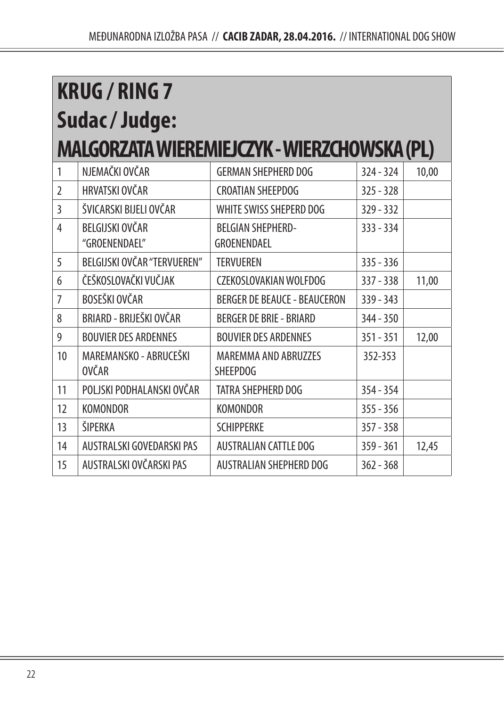|                | <b>KRUG / RING 7</b>                         |                                                |             |       |  |  |
|----------------|----------------------------------------------|------------------------------------------------|-------------|-------|--|--|
|                | Sudac/Judge:                                 |                                                |             |       |  |  |
|                | MALGORZATA WIEREMIEJCZYK - WIERZCHOWSKA (PL) |                                                |             |       |  |  |
| 1              | NJEMAČKI OVČAR                               | <b>GERMAN SHEPHERD DOG</b>                     | $324 - 324$ | 10,00 |  |  |
| $\overline{2}$ | HRVATSKI OVČAR                               | <b>CROATIAN SHEEPDOG</b>                       | $325 - 328$ |       |  |  |
| 3              | ŠVICARSKI BIJELI OVČAR                       | WHITE SWISS SHEPERD DOG                        | $329 - 332$ |       |  |  |
| $\overline{4}$ | BELGIJSKI OVČAR<br>"GROENENDAEL"             | <b>BEIGIAN SHEPHERD-</b><br>GROENENDAEL        | $333 - 334$ |       |  |  |
| 5              | BELGIJSKI OVČAR "TERVUEREN"                  | <b>TERVUEREN</b>                               | $335 - 336$ |       |  |  |
| 6              | ČEŠKOSLOVAČKI VUČJAK                         | CZEKOSLOVAKIAN WOLFDOG                         | $337 - 338$ | 11,00 |  |  |
| $\overline{7}$ | BOSEŠKI OVČAR                                | <b>BERGER DE BEAUCE - BEAUCERON</b>            | $339 - 343$ |       |  |  |
| 8              | BRIARD - BRIJEŠKI OVČAR                      | <b>BERGER DE BRIE - BRIARD</b>                 | 344 - 350   |       |  |  |
| 9              | <b>BOUVIER DES ARDENNES</b>                  | <b>BOUVIER DES ARDENNES</b>                    | $351 - 351$ | 12,00 |  |  |
| 10             | MAREMANSKO - ABRUCEŠKI<br><b>OVČAR</b>       | <b>MAREMMA AND ABRUZZES</b><br><b>SHFFPDOG</b> | 352-353     |       |  |  |
| 11             | POLJSKI PODHALANSKI OVČAR                    | TATRA SHFPHFRD DOG                             | $354 - 354$ |       |  |  |
| 12             | <b>KOMONDOR</b>                              | <b>KOMONDOR</b>                                | $355 - 356$ |       |  |  |
| 13             | ŠIPERKA                                      | <b>SCHIPPFRKF</b>                              | $357 - 358$ |       |  |  |
| 14             | AUSTRALSKI GOVEDARSKI PAS                    | <b>AUSTRALIAN CATTLE DOG</b>                   | $359 - 361$ | 12,45 |  |  |
| 15             | AUSTRALSKI OVČARSKI PAS                      | AUSTRALIAN SHEPHERD DOG                        | $362 - 368$ |       |  |  |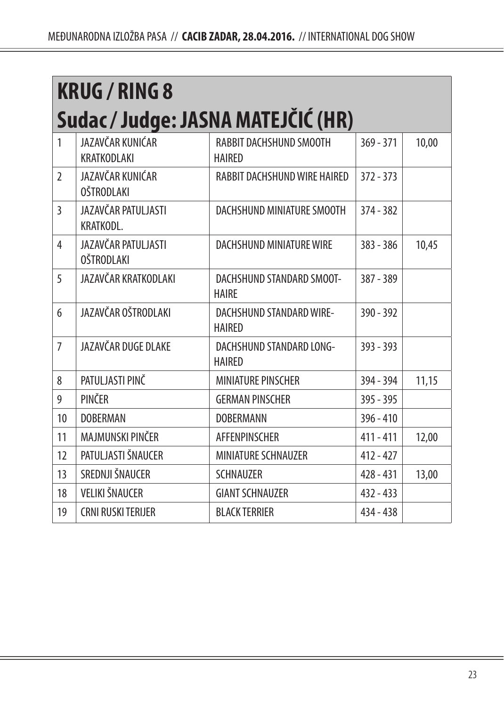| <b>KRUG / RING 8</b> |                                          |                                                  |             |       |
|----------------------|------------------------------------------|--------------------------------------------------|-------------|-------|
|                      |                                          | Sudac / Judge: JASNA MATEJČIĆ (HR)               |             |       |
| 1                    | JAZAVČAR KUNIĆAR<br>KRATKODLAKI          | RABBIT DACHSHUND SMOOTH<br><b>HAIRFD</b>         | $369 - 371$ | 10,00 |
| $\overline{2}$       | JAZAVČAR KUNIĆAR<br><b>OŠTRODLAKI</b>    | RABBIT DACHSHUND WIRE HAIRED                     | $372 - 373$ |       |
| $\mathbf{3}$         | <b>IAZAVČAR PATULJASTI</b><br>KRATKODL.  | DACHSHUND MINIATURE SMOOTH                       | $374 - 382$ |       |
| 4                    | JAZAVČAR PATULJASTI<br><b>OŠTRODLAKI</b> | <b>DACHSHUND MINIATURE WIRE</b>                  | $383 - 386$ | 10,45 |
| 5                    | JAZAVČAR KRATKODLAKI                     | DACHSHUND STANDARD SMOOT-<br><b>HAIRF</b>        | 387 - 389   |       |
| 6                    | JAZAVČAR OŠTRODLAKI                      | DACHSHUND STANDARD WIRE-<br><b>HAIRFD</b>        | $390 - 392$ |       |
| $\overline{7}$       | JAZAVČAR DUGE DLAKE                      | <b>DACHSHUND STANDARD LONG-</b><br><b>HAIRFD</b> | $393 - 393$ |       |
| 8                    | PATULJASTI PINČ                          | <b>MINIATURE PINSCHER</b>                        | 394 - 394   | 11,15 |
| 9                    | PINČER                                   | <b>GERMAN PINSCHER</b>                           | $395 - 395$ |       |
| 10                   | <b>DOBERMAN</b>                          | <b>DOBERMANN</b>                                 | $396 - 410$ |       |
| 11                   | MAJMUNSKI PINČER                         | <b>AFFENPINSCHER</b>                             | $411 - 411$ | 12,00 |
| 12                   | PATULJASTI ŠNAUCER                       | <b>MINIATURE SCHNAUZER</b>                       | $412 - 427$ |       |
| 13                   | SREDNJI ŠNAUCER                          | <b>SCHNAUZER</b>                                 | $428 - 431$ | 13,00 |
| 18                   | <b>VELIKI ŠNAUCER</b>                    | <b>GIANT SCHNAUZER</b>                           | $432 - 433$ |       |
| 19                   | <b>CRNI RUSKI TERIJER</b>                | <b>BLACK TERRIER</b>                             | $434 - 438$ |       |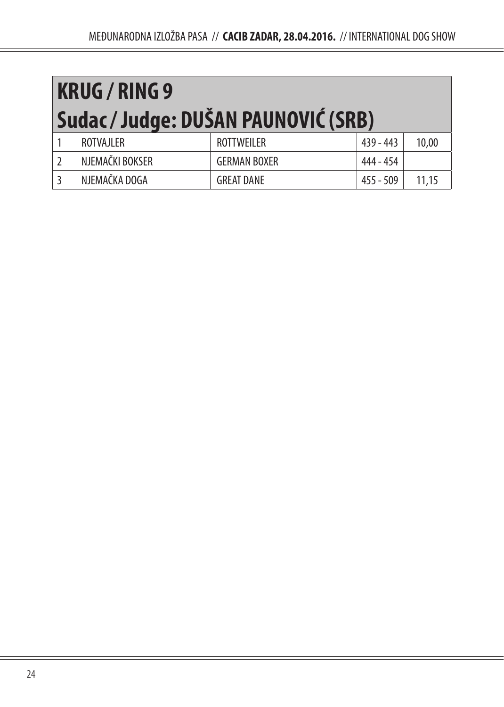| <b>KRUG/RING 9</b>                  |                   |             |       |  |  |
|-------------------------------------|-------------------|-------------|-------|--|--|
| Sudac / Judge: DUŠAN PAUNOVIĆ (SRB) |                   |             |       |  |  |
| ROTVAJLER                           | <b>ROTTWEILER</b> | $439 - 443$ | 10,00 |  |  |

| NJEMAČKI BOKSER | <b>GERMAN BOXER</b> | 444 - 454  |  |
|-----------------|---------------------|------------|--|
| NJEMAČKA DOGA   | <b>GREAT DANE</b>   | 509<br>455 |  |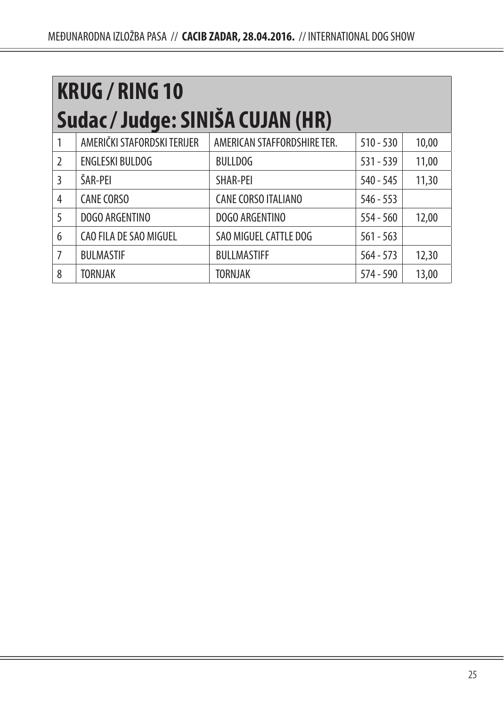| <b>KRUG / RING 10</b> |                                  |                             |             |       |  |  |
|-----------------------|----------------------------------|-----------------------------|-------------|-------|--|--|
|                       | Sudac / Judge: SINIŠA CUJAN (HR) |                             |             |       |  |  |
|                       | AMERIČKI STAFORDSKI TERIJER      | AMERICAN STAFFORDSHIRE TER. | $510 - 530$ | 10,00 |  |  |
| $\mathfrak{I}$        | <b>ENGLESKI BULDOG</b>           | <b>BULLDOG</b>              | $531 - 539$ | 11,00 |  |  |
| 3                     | ŠAR-PEI                          | SHAR-PEI                    | $540 - 545$ | 11,30 |  |  |
| 4                     | <b>CANE CORSO</b>                | <b>CANE CORSO ITALIANO</b>  | $546 - 553$ |       |  |  |
| 5                     | DOGO ARGENTINO                   | DOGO ARGENTINO              | $554 - 560$ | 12,00 |  |  |
| 6                     | CAO FILA DE SAO MIGUEL           | SAO MIGUEL CATTLE DOG       | $561 - 563$ |       |  |  |
| 7                     | <b>BULMASTIF</b>                 | <b>BULLMASTIFF</b>          | $564 - 573$ | 12,30 |  |  |
| 8                     | <b>TORNJAK</b>                   | <b>TORNJAK</b>              | $574 - 590$ | 13,00 |  |  |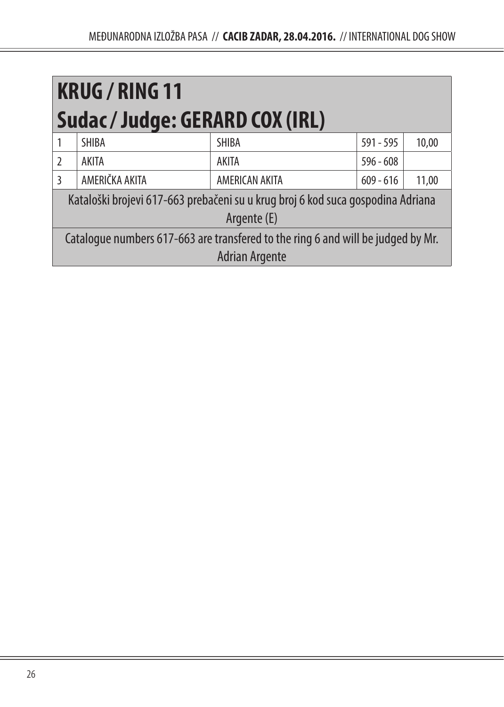| <b>KRUG / RING 11</b><br>Sudac / Judge: GERARD COX (IRL)                         |                       |                                                                                 |             |       |
|----------------------------------------------------------------------------------|-----------------------|---------------------------------------------------------------------------------|-------------|-------|
|                                                                                  | <b>SHIBA</b>          | <b>SHIBA</b>                                                                    | $591 - 595$ | 10,00 |
| $\mathfrak{I}$                                                                   | <b>AKITA</b>          | <b>AKITA</b>                                                                    | $596 - 608$ |       |
| 3                                                                                | AMERIČKA AKITA        | AMERICAN AKITA                                                                  | $609 - 616$ | 11,00 |
|                                                                                  |                       | Kataloški brojevi 617-663 prebačeni su u krug broj 6 kod suca gospodina Adriana |             |       |
| Argente (E)                                                                      |                       |                                                                                 |             |       |
| Catalogue numbers 617-663 are transfered to the ring 6 and will be judged by Mr. |                       |                                                                                 |             |       |
|                                                                                  | <b>Adrian Argente</b> |                                                                                 |             |       |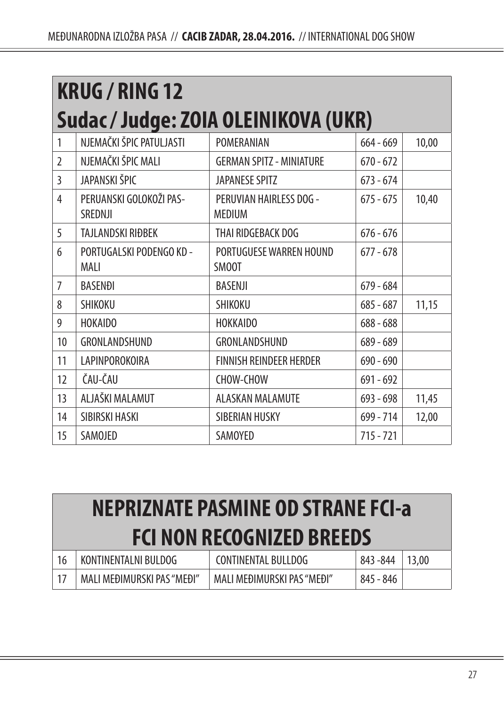| <b>KRUG / RING 12</b>                |                                         |                                          |             |       |  |
|--------------------------------------|-----------------------------------------|------------------------------------------|-------------|-------|--|
| Sudac / Judge: ZOIA OLEINIKOVA (UKR) |                                         |                                          |             |       |  |
| 1                                    | NJEMAČKI ŠPIC PATULJASTI                | POMERANIAN                               | $664 - 669$ | 10,00 |  |
| $\mathfrak{I}$                       | NJEMAČKI ŠPIC MALI                      | <b>GERMAN SPITZ - MINIATURE</b>          | $670 - 672$ |       |  |
| 3                                    | JAPANSKI ŠPIC                           | <b>JAPANESE SPITZ</b>                    | $673 - 674$ |       |  |
| 4                                    | PERUANSKI GOLOKOŽI PAS-<br>SREDNJI      | PERUVIAN HAIRLESS DOG -<br><b>MEDIUM</b> | $675 - 675$ | 10,40 |  |
| 5                                    | TAJLANDSKI RIĐBEK                       | THAI RIDGEBACK DOG                       | $676 - 676$ |       |  |
| 6                                    | PORTUGALSKI PODENGO KD -<br><b>MAII</b> | PORTUGUESE WARREN HOUND<br>SM00T         | $677 - 678$ |       |  |
| $\overline{7}$                       | <b>BASENĐI</b>                          | <b>BASENJI</b>                           | $679 - 684$ |       |  |
| 8                                    | SHIKOKU                                 | SHIKOKU                                  | $685 - 687$ | 11,15 |  |
| 9                                    | <b>HOKAIDO</b>                          | <b>HOKKAIDO</b>                          | $688 - 688$ |       |  |
| 10                                   | GRONLANDSHUND                           | GRONLANDSHUND                            | 689 - 689   |       |  |
| 11                                   | LAPINPOROKOIRA                          | FINNISH REINDEER HERDER                  | $690 - 690$ |       |  |
| 12                                   | ČAU-ČAU                                 | CHOW-CHOW                                | $691 - 692$ |       |  |
| 13                                   | ALJAŠKI MALAMUT                         | <b>ALASKAN MALAMUTE</b>                  | 693 - 698   | 11,45 |  |
| 14                                   | SIBIRSKI HASKI                          | SIBERIAN HUSKY                           | 699 - 714   | 12,00 |  |
| 15                                   | SAMOJED                                 | SAMOYED                                  | $715 - 721$ |       |  |

| <b>NEPRIZNATE PASMINE OD STRANE FCI-a</b> |                            |                             |           |       |  |
|-------------------------------------------|----------------------------|-----------------------------|-----------|-------|--|
| <b>FCI NON RECOGNIZED BREEDS</b>          |                            |                             |           |       |  |
| 16                                        | KONTINENTALNI BULDOG       | <b>CONTINENTAL BULLDOG</b>  | 843 - 844 | 13,00 |  |
| 17                                        | MALI MEĐIMURSKI PAS "MEĐI" | MAI I MFÐIMURSKI PAS "MFÐI" | 845 - 846 |       |  |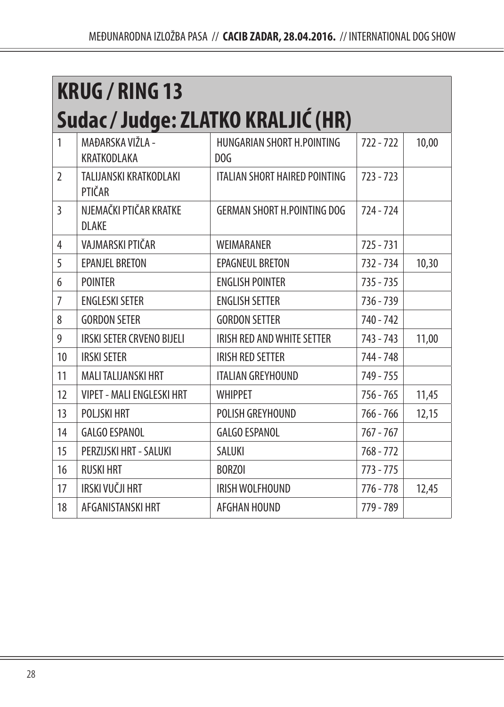| <b>KRUG / RING 13</b>              |                                        |                                                 |             |       |  |  |
|------------------------------------|----------------------------------------|-------------------------------------------------|-------------|-------|--|--|
| Sudac / Judge: ZLATKO KRALJIĆ (HR) |                                        |                                                 |             |       |  |  |
| 1                                  | MAĐARSKA VIŽLA -<br>KRATKODLAKA        | HUNGARIAN SHORT H. POINTING<br>D <sub>O</sub> G | $722 - 722$ | 10,00 |  |  |
| 2                                  | TALIJANSKI KRATKODLAKI<br>PTIČAR       | <b>ITALIAN SHORT HAIRED POINTING</b>            | $723 - 723$ |       |  |  |
| 3                                  | NJEMAČKI PTIČAR KRATKE<br><b>DLAKE</b> | <b>GERMAN SHORT H.POINTING DOG</b>              | $724 - 724$ |       |  |  |
| 4                                  | VAJMARSKI PTIČAR                       | WEIMARANER                                      | $725 - 731$ |       |  |  |
| 5                                  | <b>EPANJEL BRETON</b>                  | <b>EPAGNEUL BRETON</b>                          | 732 - 734   | 10,30 |  |  |
| 6                                  | <b>POINTER</b>                         | <b>ENGLISH POINTER</b>                          | $735 - 735$ |       |  |  |
| $\overline{7}$                     | <b>ENGLESKI SETER</b>                  | <b>ENGLISH SETTER</b>                           | 736 - 739   |       |  |  |
| 8                                  | <b>GORDON SETER</b>                    | <b>GORDON SETTER</b>                            | 740 - 742   |       |  |  |
| 9                                  | <b>IRSKI SETER CRVENO BIJELI</b>       | IRISH RED AND WHITE SETTER                      | 743 - 743   | 11,00 |  |  |
| 10                                 | <b>IRSKI SETER</b>                     | <b>IRISH RED SETTER</b>                         | 744 - 748   |       |  |  |
| 11                                 | MALI TALIJANSKI HRT                    | <b>ITALIAN GREYHOUND</b>                        | 749 - 755   |       |  |  |
| 12                                 | <b>VIPET - MALI ENGLESKI HRT</b>       | <b>WHIPPET</b>                                  | $756 - 765$ | 11,45 |  |  |
| 13                                 | POLJSKI HRT                            | POLISH GREYHOUND                                | 766 - 766   | 12,15 |  |  |
| 14                                 | <b>GALGO ESPANOL</b>                   | <b>GALGO ESPANOL</b>                            | $767 - 767$ |       |  |  |
| 15                                 | PERZIJSKI HRT - SALUKI                 | <b>SALUKI</b>                                   | $768 - 772$ |       |  |  |
| 16                                 | <b>RUSKI HRT</b>                       | <b>BORZOI</b>                                   | $773 - 775$ |       |  |  |
| 17                                 | IRSKI VUČJI HRT                        | IRISH WOLFHOUND                                 | $776 - 778$ | 12,45 |  |  |
| 18                                 | AFGANISTANSKI HRT                      | AFGHAN HOUND                                    | 779 - 789   |       |  |  |